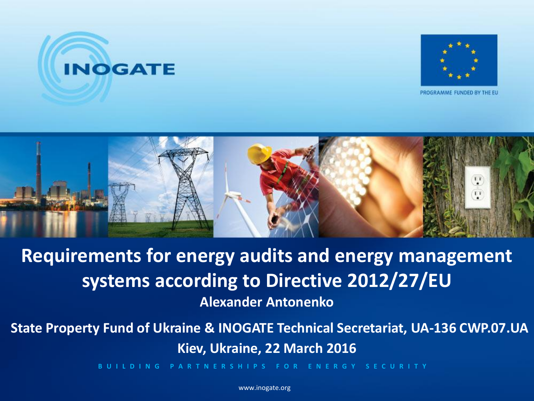



PROGRAMME FUNDED BY THE EU



**Requirements for energy audits and energy management systems according to Directive 2012/27/EU Alexander Antonenko**

**State Property Fund of Ukraine & INOGATE Technical Secretariat, UA-136 CWP.07.UA Kiev, Ukraine, 22 March 2016**

**B U I L D I N G P A R T N E R S H I P S F O R E N E R G Y S E C U R I T Y**

www.inogate.org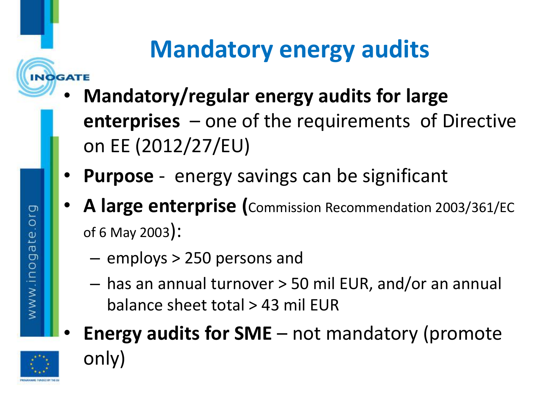### **Mandatory energy audits**

- **Mandatory/regular energy audits for large enterprises** – one of the requirements of Directive on EE (2012/27/EU)
- **Purpose** energy savings can be significant
- **A large enterprise (**Commission Recommendation 2003/361/EC of 6 May 2003):
	- employs > 250 persons and
	- has an annual turnover > 50 mil EUR, and/or an annual balance sheet total > 43 mil EUR
- **Energy audits for SME** not mandatory (promote only)

**INOGATE** 

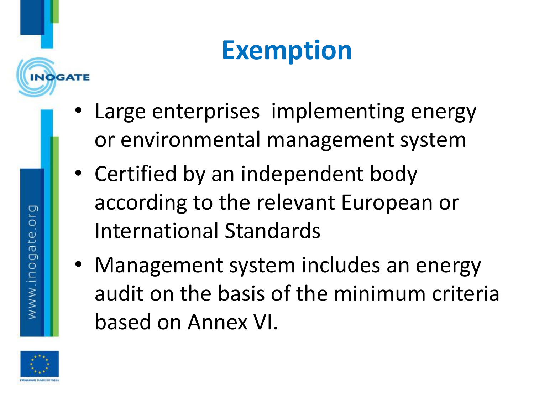## **Exemption**

- Large enterprises implementing energy or environmental management system
- Certified by an independent body according to the relevant European or International Standards
- Management system includes an energy audit on the basis of the minimum criteria based on Annex VI.



www.inogate.org

**NOGATE**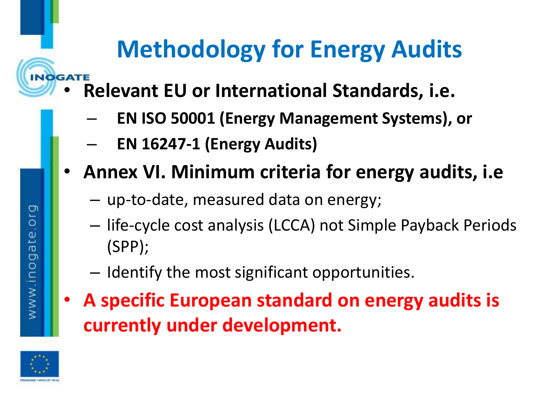### **Methodology for Energy Audits**

- **INOGATE** • **Relevant EU or International Standards, i.e.**
	- **EN ISO 50001 (Energy Management Systems), or**
	- **EN 16247-1 (Energy Audits)**
	- **Annex VI. Minimum criteria for energy audits, i.e**
		- up-to-date, measured data on energy;
		- life-cycle cost analysis (LCCA) not Simple Payback Periods (SPP);
		- Identify the most significant opportunities.
	- **A specific European standard on energy audits is currently under development.**



www.inogate.org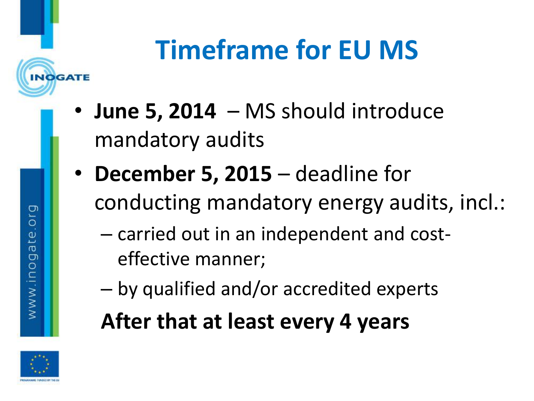# **Timeframe for EU MS**

- **June 5, 2014**  MS should introduce mandatory audits
- **December 5, 2015**  deadline for conducting mandatory energy audits, incl.:
	- carried out in an independent and costeffective manner;
	- by qualified and/or accredited experts

#### **After that at least every 4 years**



www.inogate.org

**NOGATE**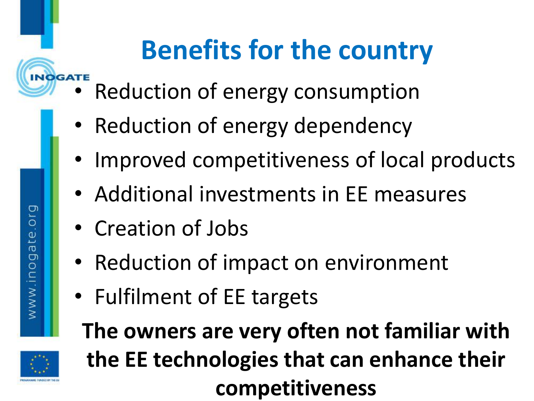# **Benefits for the country**

- **EXPLORERTE Reduction of energy consumption** 
	- Reduction of energy dependency
	- Improved competitiveness of local products
	- Additional investments in EE measures
	- Creation of Jobs
	- Reduction of impact on environment
	- Fulfilment of EE targets



**The owners are very often not familiar with the EE technologies that can enhance their competitiveness**